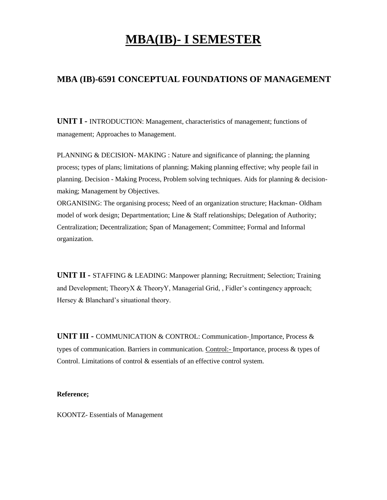# **MBA(IB)- I SEMESTER**

# **MBA (IB)-6591 CONCEPTUAL FOUNDATIONS OF MANAGEMENT**

**UNIT I -** INTRODUCTION: Management, characteristics of management; functions of management; Approaches to Management.

PLANNING & DECISION- MAKING : Nature and significance of planning; the planning process; types of plans; limitations of planning; Making planning effective; why people fail in planning. Decision - Making Process, Problem solving techniques. Aids for planning & decisionmaking; Management by Objectives.

ORGANISING: The organising process; Need of an organization structure; Hackman- Oldham model of work design; Departmentation; Line & Staff relationships; Delegation of Authority; Centralization; Decentralization; Span of Management; Committee; Formal and Informal organization.

**UNIT II -** STAFFING & LEADING: Manpower planning; Recruitment; Selection; Training and Development; TheoryX & TheoryY, Managerial Grid, , Fidler's contingency approach; Hersey & Blanchard's situational theory.

**UNIT III -** COMMUNICATION & CONTROL: Communication- Importance, Process & types of communication. Barriers in communication. Control:- Importance, process & types of Control. Limitations of control & essentials of an effective control system.

### **Reference;**

KOONTZ- Essentials of Management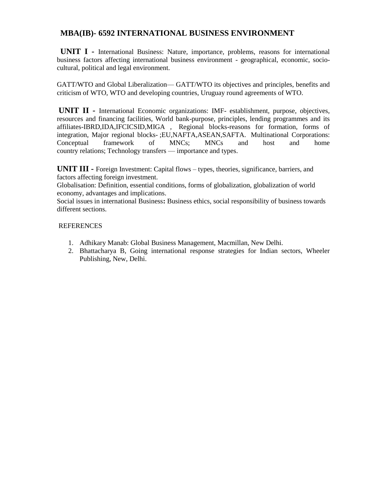### **MBA(IB)- 6592 INTERNATIONAL BUSINESS ENVIRONMENT**

 **UNIT I -** International Business: Nature, importance, problems, reasons for international business factors affecting international business environment - geographical, economic, sociocultural, political and legal environment.

GATT/WTO and Global Liberalization— GATT/WTO its objectives and principles, benefits and criticism of WTO, WTO and developing countries, Uruguay round agreements of WTO.

**UNIT II -** International Economic organizations: IMF- establishment, purpose, objectives, resources and financing facilities, World bank-purpose, principles, lending programmes and its affiliates-IBRD,IDA,IFCICSID,MIGA , Regional blocks-reasons for formation, forms of integration, Major regional blocks- ;EU,NAFTA,ASEAN,SAFTA. Multinational Corporations: Conceptual framework of MNCs; MNCs and host and home country relations; Technology transfers — importance and types.

**UNIT III -** Foreign Investment: Capital flows – types, theories, significance, barriers, and factors affecting foreign investment.

Globalisation: Definition, essential conditions, forms of globalization, globalization of world economy, advantages and implications.

Social issues in international Business**:** Business ethics, social responsibility of business towards different sections.

### REFERENCES

- 1. Adhikary Manab: Global Business Management, Macmillan, New Delhi.
- 2. Bhattacharya B, Going international response strategies for Indian sectors, Wheeler Publishing, New, Delhi.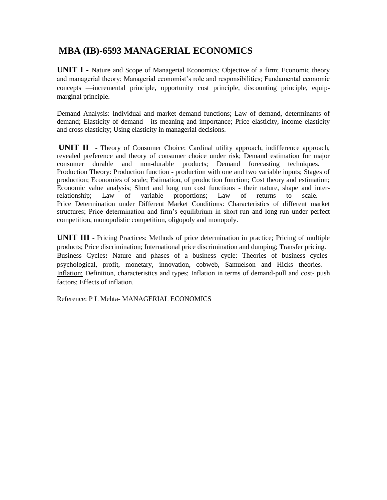# **MBA (IB)-6593 MANAGERIAL ECONOMICS**

**UNIT I -** Nature and Scope of Managerial Economics: Objective of a firm; Economic theory and managerial theory; Managerial economist's role and responsibilities; Fundamental economic concepts —incremental principle, opportunity cost principle, discounting principle, equipmarginal principle.

Demand Analysis: Individual and market demand functions; Law of demand, determinants of demand; Elasticity of demand - its meaning and importance; Price elasticity, income elasticity and cross elasticity; Using elasticity in managerial decisions.

**UNIT II** - Theory of Consumer Choice: Cardinal utility approach, indifference approach, revealed preference and theory of consumer choice under risk; Demand estimation for major consumer durable and non-durable products; Demand forecasting techniques. Production Theory: Production function - production with one and two variable inputs; Stages of production; Economies of scale; Estimation, of production function; Cost theory and estimation; Economic value analysis; Short and long run cost functions - their nature, shape and inter-<br>relationship; Law of variable proportions: Law of returns to scale. relationship; Law of variable proportions; Law of returns to scale. Price Determination under Different Market Conditions: Characteristics of different market structures; Price determination and firm's equilibrium in short-run and long-run under perfect competition, monopolistic competition, oligopoly and monopoly.

**UNIT III** - Pricing Practices: Methods of price determination in practice; Pricing of multiple products; Price discrimination; International price discrimination and dumping; Transfer pricing. Business Cycles**:** Nature and phases of a business cycle: Theories of business cyclespsychological, profit, monetary, innovation, cobweb, Samuelson and Hicks theories. Inflation: Definition, characteristics and types; Inflation in terms of demand-pull and cost- push factors; Effects of inflation.

Reference: P L Mehta- MANAGERIAL ECONOMICS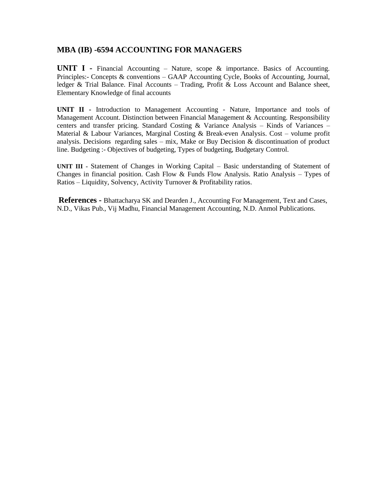### **MBA (IB) -6594 ACCOUNTING FOR MANAGERS**

**UNIT I -** Financial Accounting – Nature, scope & importance. Basics of Accounting. Principles:- Concepts & conventions – GAAP Accounting Cycle, Books of Accounting, Journal, ledger & Trial Balance. Final Accounts – Trading, Profit & Loss Account and Balance sheet, Elementary Knowledge of final accounts

**UNIT II -** Introduction to Management Accounting - Nature, Importance and tools of Management Account. Distinction between Financial Management & Accounting. Responsibility centers and transfer pricing. Standard Costing & Variance Analysis – Kinds of Variances – Material & Labour Variances, Marginal Costing & Break-even Analysis. Cost – volume profit analysis. Decisions regarding sales – mix, Make or Buy Decision  $\&$  discontinuation of product line. Budgeting :- Objectives of budgeting, Types of budgeting, Budgetary Control.

**UNIT III -** Statement of Changes in Working Capital – Basic understanding of Statement of Changes in financial position. Cash Flow & Funds Flow Analysis. Ratio Analysis – Types of Ratios – Liquidity, Solvency, Activity Turnover & Profitability ratios.

**References -** Bhattacharya SK and Dearden J., Accounting For Management, Text and Cases, N.D., Vikas Pub., Vij Madhu, Financial Management Accounting, N.D. Anmol Publications.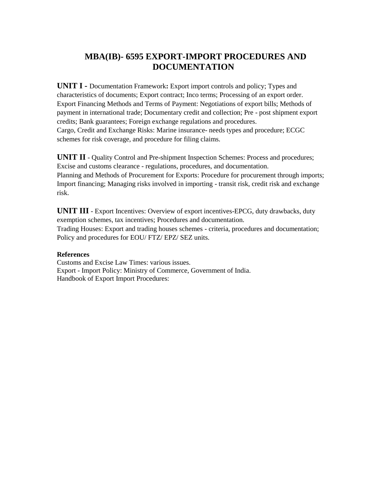# **MBA(IB)- 6595 EXPORT-IMPORT PROCEDURES AND DOCUMENTATION**

**UNIT I -** Documentation Framework**:** Export import controls and policy; Types and characteristics of documents; Export contract; Inco terms; Processing of an export order. Export Financing Methods and Terms of Payment: Negotiations of export bills; Methods of payment in international trade; Documentary credit and collection; Pre - post shipment export credits; Bank guarantees; Foreign exchange regulations and procedures. Cargo, Credit and Exchange Risks: Marine insurance- needs types and procedure; ECGC schemes for risk coverage, and procedure for filing claims.

**UNIT II** - Quality Control and Pre-shipment Inspection Schemes: Process and procedures; Excise and customs clearance - regulations, procedures, and documentation. Planning and Methods of Procurement for Exports: Procedure for procurement through imports; Import financing; Managing risks involved in importing - transit risk, credit risk and exchange risk.

**UNIT III** - Export Incentives: Overview of export incentives-EPCG, duty drawbacks, duty exemption schemes, tax incentives; Procedures and documentation. Trading Houses: Export and trading houses schemes - criteria, procedures and documentation; Policy and procedures for EOU/ FTZ/ EPZ/ SEZ units.

### **References**

Customs and Excise Law Times: various issues. Export - Import Policy: Ministry of Commerce, Government of India. Handbook of Export Import Procedures: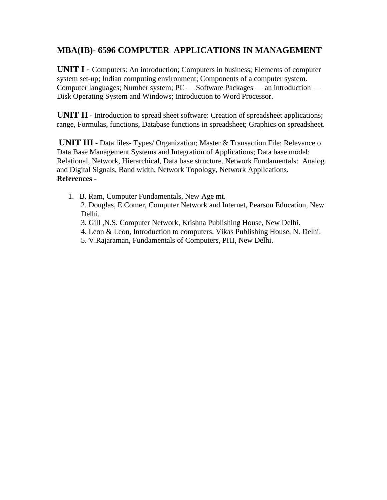# **MBA(IB)- 6596 COMPUTER APPLICATIONS IN MANAGEMENT**

**UNIT I -** Computers: An introduction; Computers in business; Elements of computer system set-up; Indian computing environment; Components of a computer system. Computer languages; Number system; PC — Software Packages — an introduction — Disk Operating System and Windows; Introduction to Word Processor.

**UNIT II** - Introduction to spread sheet software: Creation of spreadsheet applications; range, Formulas, functions, Database functions in spreadsheet; Graphics on spreadsheet.

**UNIT III** - Data files- Types/ Organization; Master & Transaction File; Relevance o Data Base Management Systems and Integration of Applications; Data base model: Relational, Network, Hierarchical, Data base structure. Network Fundamentals: Analog and Digital Signals, Band width, Network Topology, Network Applications. **References -**

- 1. B. Ram, Computer Fundamentals, New Age mt.
	- 2. Douglas, E.Comer, Computer Network and Internet, Pearson Education, New Delhi.
	- 3*.* Gill ,N.S. Computer Network, Krishna Publishing House, New Delhi.
	- 4. Leon & Leon, Introduction to computers, Vikas Publishing House, N. Delhi.
	- 5. V.Rajaraman, Fundamentals of Computers, PHI, New Delhi.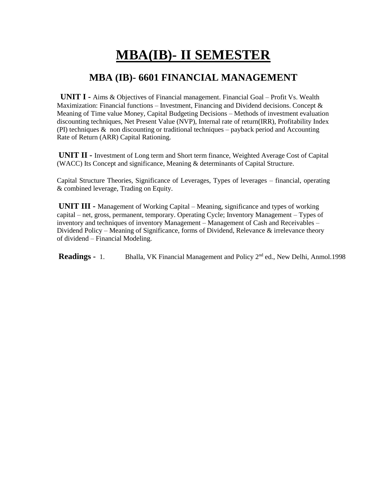# **MBA(IB)- II SEMESTER**

# **MBA (IB)- 6601 FINANCIAL MANAGEMENT**

**UNIT I -** Aims & Objectives of Financial management. Financial Goal – Profit Vs. Wealth Maximization: Financial functions – Investment, Financing and Dividend decisions. Concept  $\&$ Meaning of Time value Money, Capital Budgeting Decisions – Methods of investment evaluation discounting techniques, Net Present Value (NVP), Internal rate of return(IRR), Profitability Index (PI) techniques  $\&$  non discounting or traditional techniques – payback period and Accounting Rate of Return (ARR) Capital Rationing.

**UNIT II -** Investment of Long term and Short term finance, Weighted Average Cost of Capital (WACC) Its Concept and significance, Meaning & determinants of Capital Structure.

Capital Structure Theories, Significance of Leverages, Types of leverages – financial, operating & combined leverage, Trading on Equity.

**UNIT III -** Management of Working Capital – Meaning, significance and types of working capital – net, gross, permanent, temporary. Operating Cycle; Inventory Management – Types of inventory and techniques of inventory Management – Management of Cash and Receivables – Dividend Policy – Meaning of Significance, forms of Dividend, Relevance  $\&$  irrelevance theory of dividend – Financial Modeling.

**Readings -** 1. Bhalla, VK Financial Management and Policy 2<sup>nd</sup> ed., New Delhi, Anmol.1998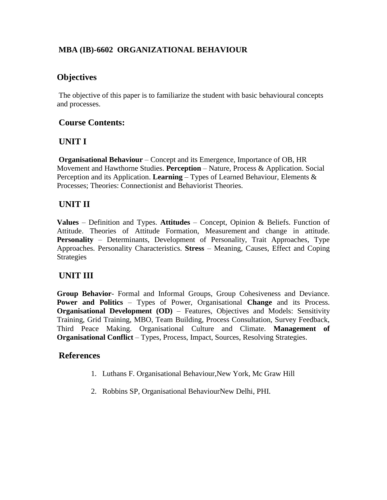# **MBA (IB)-6602 ORGANIZATIONAL BEHAVIOUR**

# **Objectives**

The objective of this paper is to familiarize the student with basic behavioural concepts and processes.

# **Course Contents:**

# **UNIT I**

**Organisational Behaviour** – Concept and its Emergence, Importance of OB, HR Movement and Hawthorne Studies. **Perception** – Nature, Process & Application. Social Perception and its Application. **Learning** – Types of Learned Behaviour, Elements & Processes; Theories: Connectionist and Behaviorist Theories.

# **UNIT II**

**Values** – Definition and Types. **Attitudes** – Concept, Opinion & Beliefs. Function of Attitude. Theories of Attitude Formation, Measurement and change in attitude. **Personality** – Determinants, Development of Personality, Trait Approaches, Type Approaches. Personality Characteristics. **Stress** – Meaning, Causes, Effect and Coping Strategies

# **UNIT III**

**Group Behavior**- Formal and Informal Groups, Group Cohesiveness and Deviance. **Power and Politics** – Types of Power, Organisational **Change** and its Process. **Organisational Development (OD)** – Features, Objectives and Models: Sensitivity Training, Grid Training, MBO, Team Building, Process Consultation, Survey Feedback, Third Peace Making. Organisational Culture and Climate. **Management of Organisational Conflict** – Types, Process, Impact, Sources, Resolving Strategies.

# **References**

- 1. Luthans F. Organisational Behaviour,New York, Mc Graw Hill
- 2. Robbins SP, Organisational BehaviourNew Delhi, PHI.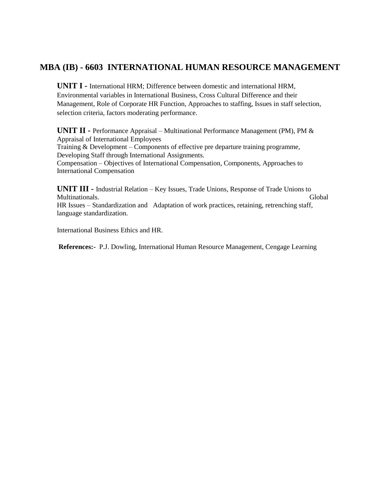# **MBA (IB) - 6603 INTERNATIONAL HUMAN RESOURCE MANAGEMENT**

**UNIT I -** International HRM; Difference between domestic and international HRM, Environmental variables in International Business, Cross Cultural Difference and their Management, Role of Corporate HR Function, Approaches to staffing, Issues in staff selection, selection criteria, factors moderating performance.

**UNIT II -** Performance Appraisal – Multinational Performance Management (PM), PM & Appraisal of International Employees Training & Development – Components of effective pre departure training programme, Developing Staff through International Assignments. Compensation – Objectives of International Compensation, Components, Approaches to International Compensation

**UNIT III -** Industrial Relation – Key Issues, Trade Unions, Response of Trade Unions to Multinationals. Global HR Issues – Standardization and Adaptation of work practices, retaining, retrenching staff, language standardization.

International Business Ethics and HR.

**References:-** P.J. Dowling, International Human Resource Management, Cengage Learning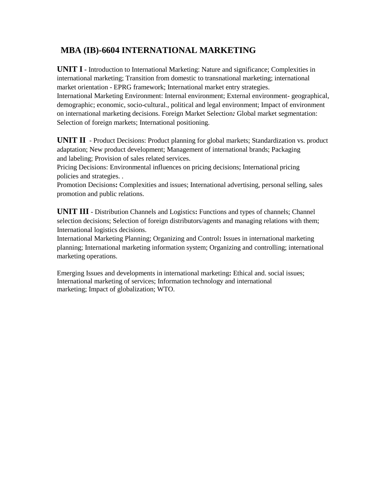# **MBA (IB)-6604 INTERNATIONAL MARKETING**

**UNIT I -** Introduction to International Marketing: Nature and significance; Complexities in international marketing; Transition from domestic to transnational marketing; international market orientation - EPRG framework; International market entry strategies. International Marketing Environment: Internal environment; External environment- geographical, demographic; economic, socio-cultural., political and legal environment; Impact of environment on international marketing decisions. Foreign Market Selection*:* Global market segmentation: Selection of foreign markets; International positioning.

**UNIT II** - Product Decisions: Product planning for global markets; Standardization vs. product adaptation; New product development; Management of international brands; Packaging and labeling; Provision of sales related services.

Pricing Decisions: Environmental influences on pricing decisions; International pricing policies and strategies. .

Promotion Decisions**:** Complexities and issues; International advertising, personal selling, sales promotion and public relations.

**UNIT III** - Distribution Channels and Logistics**:** Functions and types of channels; Channel selection decisions; Selection of foreign distributors/agents and managing relations with them; International logistics decisions.

International Marketing Planning; Organizing and Control**:** Issues in international marketing planning; International marketing information system; Organizing and controlling; international marketing operations.

Emerging Issues and developments in international marketing**:** Ethical and. social issues; International marketing of services; Information technology and international marketing; Impact of globalization; WTO.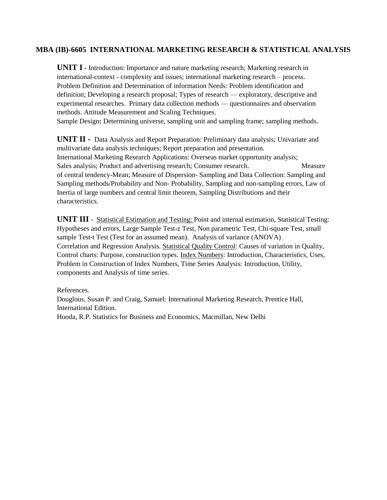### **MBA (IB)-6605 INTERNATIONAL MARKETING RESEARCH & STATISTICAL ANALYSIS**

**UNIT I -** Introduction: Importance and nature marketing research; Marketing research in international-context - complexity and issues; international marketing research – process. Problem Definition and Determination of information Needs: Problem identification and definition; Developing a research proposal; Types of research — exploratory, descriptive and experimental researches. Primary data collection methods — questionnaires and observation methods. Attitude Measurement and Scaling Techniques.

Sample Design**:** Determining universe, sampling unit and sampling frame; sampling methods.

**UNIT II -** Data Analysis and Report Preparation: Preliminary data analysis; Univariate and multivariate data analysis techniques; Report preparation and presentation. International Marketing Research Applications: Overseas market opportunity analysis; Sales analysis; Product and advertising research; Consumer research. Measure of central tendency-Mean; Measure of Dispersion- Sampling and Data Collection: Sampling and Sampling methods/Probability and Non- Probability, Sampling and non-sampling errors, Law of Inertia of large numbers and central limit theorem, Sampling Distributions and their characteristics.

**UNIT III** - Statistical Estimation and Testing: Point and internal estimation, Statistical Testing: Hypotheses and errors, Large Sample Test-z Test, Non parametric Test, Chi-square Test, small sample Test-t Test (Test for an assumed mean). Analysis of variance (ANOVA) Correlation and Regression Analysis. Statistical Quality Control: Causes of variation in Quality, Control charts: Purpose, construction types. Index Numbers: Introduction, Characteristics, Uses, Problem in Construction of Index Numbers, Time Series Analysis: Introduction, Utility, components and Analysis of time series.

References.

Douglous, Susan P. and Craig, Samuel: International Marketing Research, Prentice Hall, International Edition.

Hooda, R.P. Statistics for Business and Economics, Macmillan, New Delhi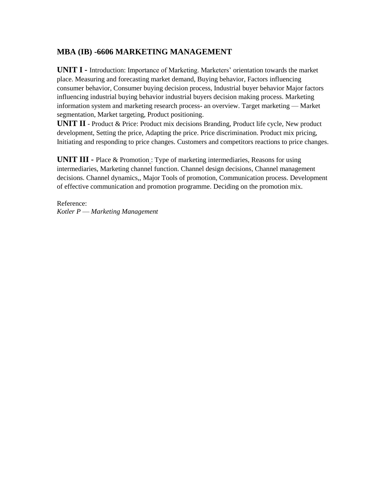### **MBA (IB) -6606 MARKETING MANAGEMENT**

**UNIT I -** Introduction: Importance of Marketing. Marketers' orientation towards the market place. Measuring and forecasting market demand, Buying behavior, Factors influencing consumer behavior, Consumer buying decision process, Industrial buyer behavior Major factors influencing industrial buying behavior industrial buyers decision making process. Marketing information system and marketing research process- an overview. Target marketing — Market segmentation, Market targeting, Product positioning.

**UNIT II** - Product & Price: Product mix decisions Branding, Product life cycle, New product development, Setting the price, Adapting the price. Price discrimination. Product mix pricing, Initiating and responding to price changes. Customers and competitors reactions to price changes.

**UNIT III -** Place & Promotion : Type of marketing intermediaries, Reasons for using intermediaries, Marketing channel function. Channel design decisions, Channel management decisions. Channel dynamics,, Major Tools of promotion, Communication process. Development of effective communication and promotion programme. Deciding on the promotion mix.

Reference: *Kotler P* — *Marketing Management*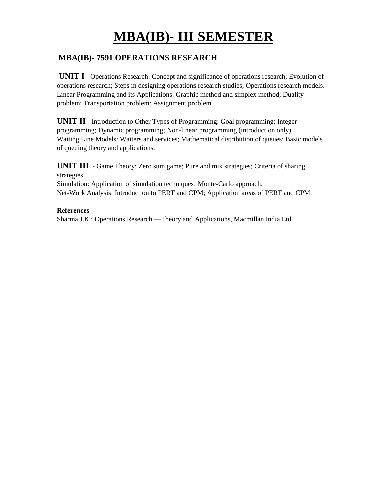# **MBA(IB)- III SEMESTER**

### **MBA(IB)- 7591 OPERATIONS RESEARCH**

**UNIT I -** Operations Research: Concept and significance of operations research; Evolution of operations research; Steps in designing operations research studies; Operations research models. Linear Programming and its Applications: Graphic method and simplex method; Duality problem; Transportation problem: Assignment problem.

**UNIT II** - Introduction to Other Types of Programming: Goal programming; Integer programming; Dynamic programming; Non-linear programming (introduction only). Waiting Line Models: Waiters and services; Mathematical distribution of queues; Basic models of queuing theory and applications.

**UNIT III** - Game Theory: Zero sum game; Pure and mix strategies; Criteria of sharing strategies.

Simulation: Application of simulation techniques; Monte-Carlo approach. Net-Work Analysis: Introduction to PERT and CPM; Application areas of PERT and CPM.

### **References**

Sharma J.K.: Operations Research —Theory and Applications, Macmillan India Ltd.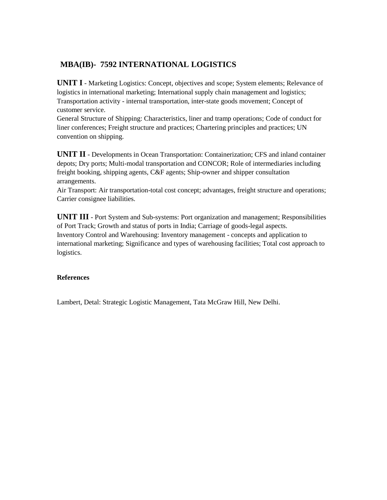### **MBA(IB)- 7592 INTERNATIONAL LOGISTICS**

**UNIT I** - Marketing Logistics: Concept, objectives and scope; System elements; Relevance of logistics in international marketing; International supply chain management and logistics; Transportation activity - internal transportation, inter-state goods movement; Concept of customer service.

General Structure of Shipping: Characteristics, liner and tramp operations; Code of conduct for liner conferences; Freight structure and practices; Chartering principles and practices; UN convention on shipping.

**UNIT II** - Developments in Ocean Transportation: Containerization; CFS and inland container depots; Dry ports; Multi-modal transportation and CONCOR; Role of intermediaries including freight booking, shipping agents, C&F agents; Ship-owner and shipper consultation arrangements.

Air Transport: Air transportation-total cost concept; advantages, freight structure and operations; Carrier consignee liabilities.

**UNIT III** - Port System and Sub-systems: Port organization and management; Responsibilities of Port Track; Growth and status of ports in India; Carriage of goods-legal aspects. Inventory Control and Warehousing: Inventory management - concepts and application to international marketing; Significance and types of warehousing facilities; Total cost approach to logistics.

### **References**

Lambert, Detal: Strategic Logistic Management, Tata McGraw Hill, New Delhi.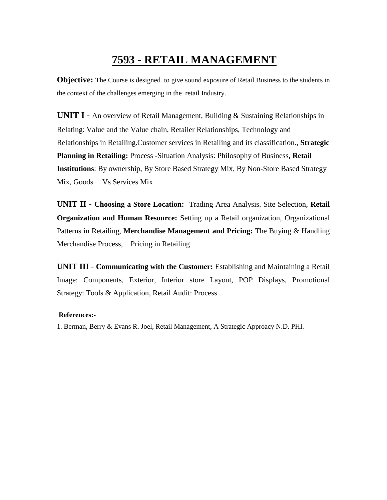# **7593 - RETAIL MANAGEMENT**

**Objective:** The Course is designed to give sound exposure of Retail Business to the students in the context of the challenges emerging in the retail Industry.

**UNIT I -** An overview of Retail Management, Building & Sustaining Relationships in Relating: Value and the Value chain, Retailer Relationships, Technology and Relationships in Retailing.Customer services in Retailing and its classification., **Strategic Planning in Retailing:** Process -Situation Analysis: Philosophy of Business**, Retail Institutions**: By ownership, By Store Based Strategy Mix, By Non-Store Based Strategy Mix, Goods Vs Services Mix

**UNIT II - Choosing a Store Location:** Trading Area Analysis. Site Selection, **Retail Organization and Human Resource:** Setting up a Retail organization, Organizational Patterns in Retailing, **Merchandise Management and Pricing:** The Buying & Handling Merchandise Process, Pricing in Retailing

**UNIT III - Communicating with the Customer:** Establishing and Maintaining a Retail Image: Components, Exterior, Interior store Layout, POP Displays, Promotional Strategy: Tools & Application, Retail Audit: Process

### **References:-**

1. Berman, Berry & Evans R. Joel, Retail Management, A Strategic Approacy N.D. PHI.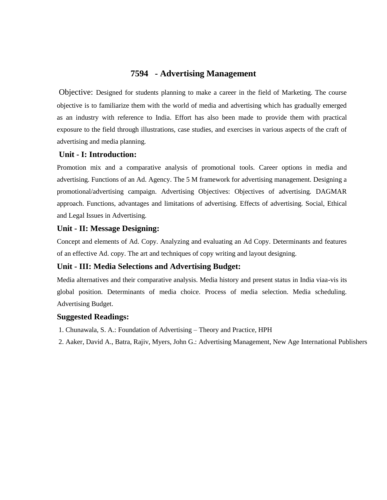### **7594 - Advertising Management**

Objective: Designed for students planning to make a career in the field of Marketing. The course objective is to familiarize them with the world of media and advertising which has gradually emerged as an industry with reference to India. Effort has also been made to provide them with practical exposure to the field through illustrations, case studies, and exercises in various aspects of the craft of advertising and media planning.

### **Unit - I: Introduction:**

Promotion mix and a comparative analysis of promotional tools. Career options in media and advertising. Functions of an Ad. Agency. The 5 M framework for advertising management. Designing a promotional/advertising campaign. Advertising Objectives: Objectives of advertising. DAGMAR approach. Functions, advantages and limitations of advertising. Effects of advertising. Social, Ethical and Legal Issues in Advertising.

### **Unit - II: Message Designing:**

Concept and elements of Ad. Copy. Analyzing and evaluating an Ad Copy. Determinants and features of an effective Ad. copy. The art and techniques of copy writing and layout designing.

### **Unit - III: Media Selections and Advertising Budget:**

Media alternatives and their comparative analysis. Media history and present status in India viaa-vis its global position. Determinants of media choice. Process of media selection. Media scheduling. Advertising Budget.

### **Suggested Readings:**

- 1. Chunawala, S. A.: Foundation of Advertising Theory and Practice, HPH
- 2. Aaker, David A., Batra, Rajiv, Myers, John G.: Advertising Management, New Age International Publishers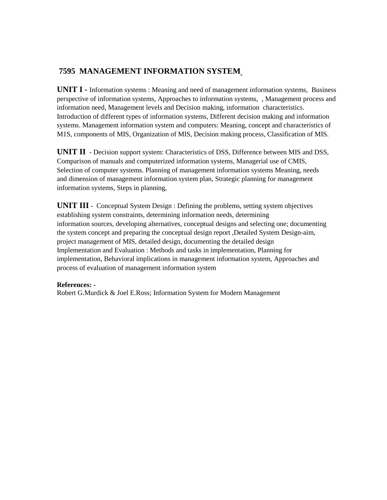### **7595 MANAGEMENT INFORMATION SYSTEM**

**UNIT I -** Information systems : Meaning and need of management information systems, Business perspective of information systems, Approaches to information systems, , Management process and information need, Management levels and Decision making, information characteristics. Introduction of different types of information systems, Different decision making and information systems. Management information system and computers: Meaning, concept and characteristics of M1S, components of MIS, Organization of MIS, Decision making process, Classification of MIS.

**UNIT II** - Decision support system: Characteristics of DSS, Difference between MIS and DSS, Comparison of manuals and computerized information systems, Managerial use of CMIS, Selection of computer systems. Planning of management information systems Meaning, needs and dimension of management information system plan, Strategic planning for management information systems, Steps in planning,

**UNIT III** - Conceptual System Design : Defining the problems, setting system objectives establishing system constraints, determining information needs, determining information sources, developing alternatives, conceptual designs and selecting one; documenting the system concept and preparing the conceptual design report ,Detailed System Design-aim, project management of MIS, detailed design, documenting the detailed design Implementation and Evaluation : Methods and tasks in implementation, Planning for implementation, Behavioral implications in management information system, Approaches and process of evaluation of management information system

### **References:** -

Robert G.Murdick & Joel E.Ross; Information System for Modern Management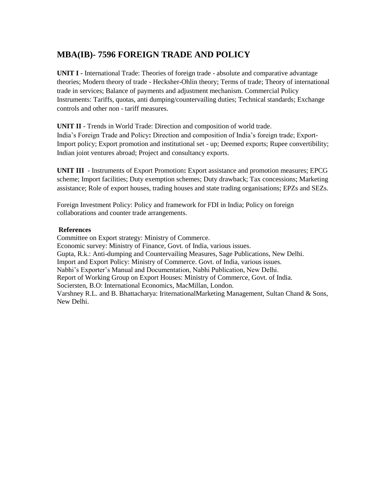# **MBA(IB)- 7596 FOREIGN TRADE AND POLICY**

**UNIT I -** International Trade: Theories of foreign trade - absolute and comparative advantage theories; Modern theory of trade - Hecksher-Ohlin theory; Terms of trade; Theory of international trade in services; Balance of payments and adjustment mechanism. Commercial Policy Instruments: Tariffs, quotas, anti dumping/countervailing duties; Technical standards; Exchange controls and other non - tariff measures.

**UNIT II** - Trends in World Trade: Direction and composition of world trade. India's Foreign Trade and Policy**:** Direction and composition of India's foreign trade; Export-Import policy; Export promotion and institutional set - up; Deemed exports; Rupee convertibility; Indian joint ventures abroad; Project and consultancy exports.

**UNIT III** - Instruments of Export Promotion**:** Export assistance and promotion measures; EPCG scheme; Import facilities; Duty exemption schemes; Duty drawback; Tax concessions; Marketing assistance; Role of export houses, trading houses and state trading organisations; EPZs and SEZs.

Foreign Investment Policy: Policy and framework for FDI in India; Policy on foreign collaborations and counter trade arrangements.

### **References**

Committee on Export strategy: Ministry of Commerce. Economic survey: Ministry of Finance, Govt. of India, various issues. Gupta, R.k.: Anti-dumping and Countervailing Measures, Sage Publications, New Delhi. Import and Export Policy: Ministry of Commerce. Govt. of India, various issues. Nabhi's Exporter's Manual and Documentation, Nabhi Publication, New Delhi. Report of Working Group on Export Houses: Ministry of Commerce, Govt. of India. Sociersten, B.O: International Economics, MacMillan, London. Varshney R.L. and B. Bhattacharya: IriternationalMarketing Management, Sultan Chand & Sons, New Delhi.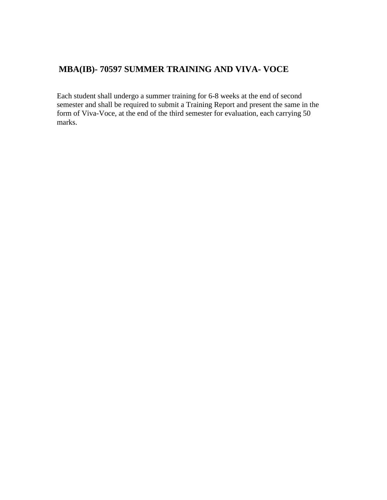# **MBA(IB)- 70597 SUMMER TRAINING AND VIVA- VOCE**

Each student shall undergo a summer training for 6-8 weeks at the end of second semester and shall be required to submit a Training Report and present the same in the form of Viva-Voce, at the end of the third semester for evaluation, each carrying 50 marks.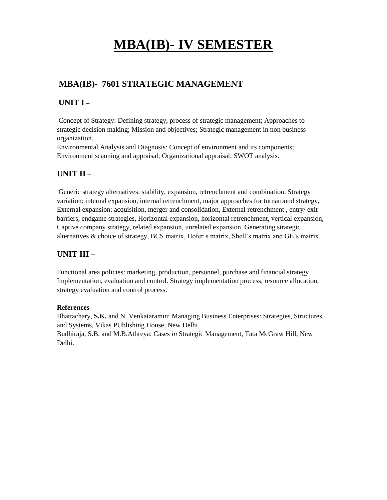# **MBA(IB)- IV SEMESTER**

# **MBA(IB)- 7601 STRATEGIC MANAGEMENT**

# **UNIT I –**

Concept of Strategy: Defining strategy, process of strategic management; Approaches to strategic decision making; Mission and objectives; Strategic management in non business organization.

Environmental Analysis and Diagnosis: Concept of environment and its components; Environment scanning and appraisal; Organizational appraisal; SWOT analysis.

# **UNIT II** –

Generic strategy alternatives: stability, expansion, retrenchment and combination. Strategy variation: internal expansion, internal retrenchment, major approaches for turnaround strategy, External expansion: acquisition, merger and consolidation, External retrenchment , entry/ exit barriers, endgame strategies, Horizontal expansion, horizontal retrenchment, vertical expansion, Captive company strategy, related expansion, unrelated expansion. Generating strategic alternatives & choice of strategy, BCS matrix, Hofer's matrix, Shell's matrix and GE's matrix.

# **UNIT III –**

Functional area policies: marketing, production, personnel, purchase and financial strategy Implementation, evaluation and control. Strategy implementation process, resource allocation, strategy evaluation and control process.

### **References**

Bhattachary, **S.K.** and N. Venkataramin: Managing Business Enterprises: Strategies, Structures and Systems, Vikas PUblishing House, New Delhi.

Budhiraja, S.B. and M.B.Athreya: Cases *in* Strategic Management, Tata McGraw Hill, New Delhi.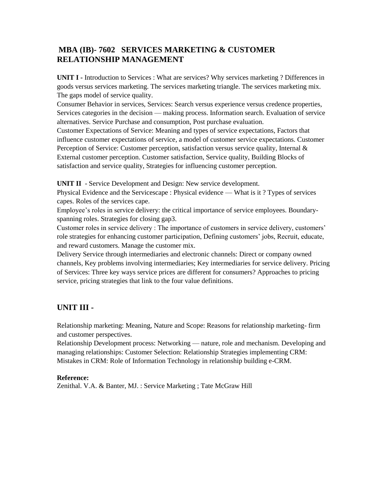### **MBA (IB)- 7602 SERVICES MARKETING & CUSTOMER RELATIONSHIP MANAGEMENT**

**UNIT I -** Introduction to Services : What are services? Why services marketing ? Differences in goods versus services marketing. The services marketing triangle. The services marketing mix. The gaps model of service quality.

Consumer Behavior in services, Services: Search versus experience versus credence properties, Services categories in the decision — making process. Information search. Evaluation of service alternatives. Service Purchase and consumption, Post purchase evaluation.

Customer Expectations of Service: Meaning and types of service expectations, Factors that influence customer expectations of service, a model of customer service expectations. Customer Perception of Service: Customer perception, satisfaction versus service quality, Internal & External customer perception. Customer satisfaction, Service quality, Building Blocks of satisfaction and service quality, Strategies for influencing customer perception.

**UNIT II** - Service Development and Design: New service development.

Physical Evidence and the Servicescape : Physical evidence — What is it ? Types of services capes. Roles of the services cape.

Employee's roles in service delivery: the critical importance of service employees. Boundaryspanning roles. Strategies for closing gap3.

Customer roles in service delivery : The importance of customers in service delivery, customers' role strategies for enhancing customer participation, Defining customers' jobs, Recruit, educate, and reward customers. Manage the customer mix.

Delivery Service through intermediaries and electronic channels: Direct or company owned channels, Key problems involving intermediaries; Key intermediaries for service delivery. Pricing of Services: Three key ways service prices are different for consumers? Approaches to pricing service, pricing strategies that link to the four value definitions.

### **UNIT III -**

Relationship marketing: Meaning, Nature and Scope: Reasons for relationship marketing- firm and customer perspectives.

Relationship Development process: Networking — nature, role and mechanism. Developing and managing relationships: Customer Selection: Relationship Strategies implementing CRM: Mistakes in CRM: Role of Information Technology in relationship building e-CRM.

### **Reference:**

Zenithal. V.A. & Banter, MJ. : Service Marketing ; Tate McGraw Hill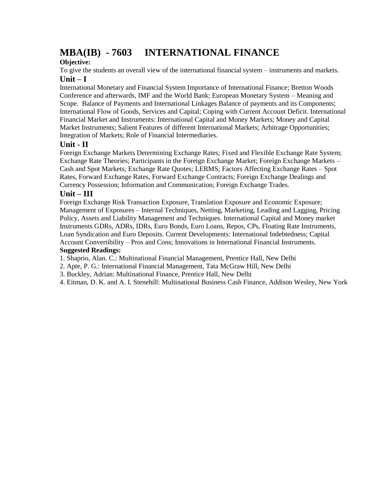# **MBA(IB) - 7603 INTERNATIONAL FINANCE**

### **Objective:**

To give the students an overall view of the international financial system – instruments and markets. **Unit – I**

International Monetary and Financial System Importance of International Finance; Bretton Woods Conference and afterwards, IMF and the World Bank; European Monetary System – Meaning and Scope. Balance of Payments and International Linkages Balance of payments and its Components; International Flow of Goods, Services and Capital; Coping with Current Account Deficit. International Financial Market and Instruments: International Capital and Money Markets; Money and Capital Market Instruments; Salient Features of different International Markets; Arbitrage Opportunities; Integration of Markets; Role of Financial Intermediaries.

### **Unit - II**

Foreign Exchange Markets Determining Exchange Rates; Fixed and Flexible Exchange Rate System; Exchange Rate Theories; Participants in the Foreign Exchange Market; Foreign Exchange Markets – Cash and Spot Markets; Exchange Rate Quotes; LERMS; Factors Affecting Exchange Rates – Spot Rates, Forward Exchange Rates, Forward Exchange Contracts; Foreign Exchange Dealings and Currency Possession; Information and Communication; Foreign Exchange Trades.

### **Unit – III**

Foreign Exchange Risk Transaction Exposure, Translation Exposure and Economic Exposure; Management of Exposures – Internal Techniques, Netting, Marketing, Leading and Lagging, Pricing Policy, Assets and Liability Management and Techniques. International Capital and Money market Instruments GDRs, ADRs, IDRs, Euro Bonds, Euro Loans, Repos, CPs, Floating Rate Instruments, Loan Syndication and Euro Deposits. Current Developments: International Indebtedness; Capital Account Convertibility – Pros and Cons; Innovations in International Financial Instruments.

### **Suggested Readings:**

1. Shaprio, Alan. C.: Multinational Financial Management, Prentice Hall, New Delhi

- 2. Apte, P. G.: International Financial Management, Tata McGraw Hill, New Delhi
- 3. Buckley, Adrian: Multinational Finance, Prentice Hall, New Delhi

4. Eitman, D. K. and A. I. Stenehill: Multinational Business Cash Finance, Addison Wesley, New York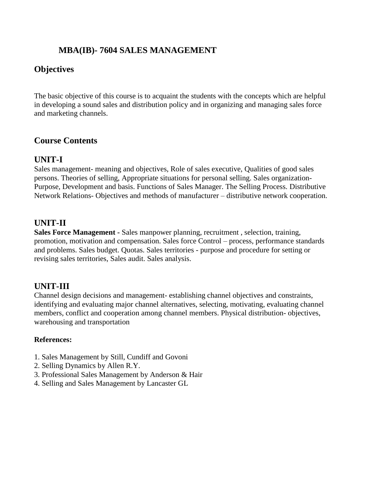# **MBA(IB)- 7604 SALES MANAGEMENT**

# **Objectives**

The basic objective of this course is to acquaint the students with the concepts which are helpful in developing a sound sales and distribution policy and in organizing and managing sales force and marketing channels.

# **Course Contents**

### **UNIT-I**

Sales management- meaning and objectives, Role of sales executive, Qualities of good sales persons. Theories of selling, Appropriate situations for personal selling. Sales organization-Purpose, Development and basis. Functions of Sales Manager. The Selling Process. Distributive Network Relations- Objectives and methods of manufacturer – distributive network cooperation.

# **UNIT-II**

**Sales Force Management -** Sales manpower planning, recruitment , selection, training, promotion, motivation and compensation. Sales force Control – process, performance standards and problems. Sales budget. Quotas. Sales territories - purpose and procedure for setting or revising sales territories, Sales audit. Sales analysis.

# **UNIT-III**

Channel design decisions and management- establishing channel objectives and constraints, identifying and evaluating major channel alternatives, selecting, motivating, evaluating channel members, conflict and cooperation among channel members. Physical distribution- objectives, warehousing and transportation

### **References:**

- 1. Sales Management by Still, Cundiff and Govoni
- 2. Selling Dynamics by Allen R.Y.
- 3. Professional Sales Management by Anderson & Hair
- 4. Selling and Sales Management by Lancaster GL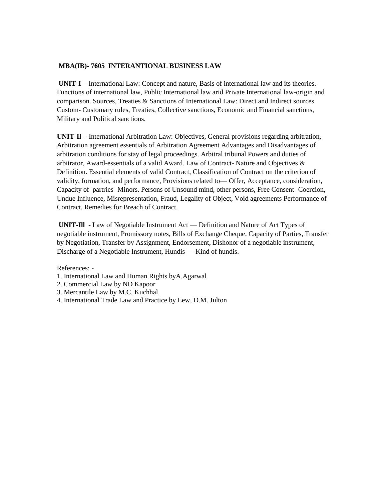### **MBA(IB)- 7605 INTERANTIONAL BUSINESS LAW**

**UNIT-I -** International Law: Concept and nature, Basis of international law and its theories. Functions of international law, Public International law arid Private International law-origin and comparison. Sources, Treaties & Sanctions of International Law: Direct and Indirect sources Custom- Customary rules, Treaties, Collective sanctions, Economic and Financial sanctions, Military and Political sanctions.

**UNIT-Il** - International Arbitration Law: Objectives, General provisions regarding arbitration, Arbitration agreement essentials of Arbitration Agreement Advantages and Disadvantages of arbitration conditions for stay of legal proceedings. Arbitral tribunal Powers and duties of arbitrator, Award-essentials of a valid Award. Law of Contract- Nature and Objectives & Definition. Essential elements of valid Contract, Classification of Contract on the criterion of validity, formation, and performance, Provisions related to— Offer, Acceptance, consideration, Capacity of partries- Minors. Persons of Unsound mind, other persons, Free Consent- Coercion, Undue Influence, Misrepresentation, Fraud, Legality of Object, Void agreements Performance of Contract, Remedies for Breach of Contract.

**UNIT-Ill** - Law of Negotiable Instrument Act — Definition and Nature of Act Types of negotiable instrument, Promissory notes, Bills of Exchange Cheque, Capacity of Parties, Transfer by Negotiation, Transfer by Assignment, Endorsement, Dishonor of a negotiable instrument, Discharge of a Negotiable Instrument, Hundis — Kind of hundis.

References: -

- 1. International Law and Human Rights byA.Agarwal
- 2. Commercial Law by ND Kapoor
- 3. Mercantile Law by M.C. Kuchhal
- 4. International Trade Law and Practice by Lew, D.M. Julton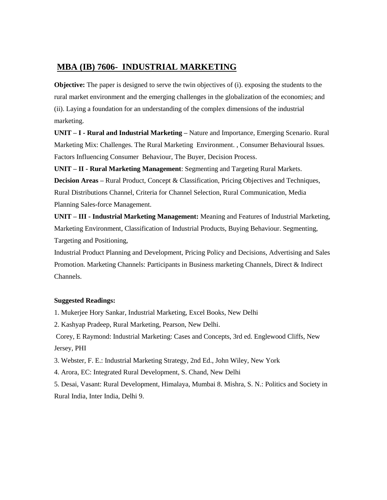### **MBA (IB) 7606- INDUSTRIAL MARKETING**

**Objective:** The paper is designed to serve the twin objectives of (i). exposing the students to the rural market environment and the emerging challenges in the globalization of the economies; and (ii). Laying a foundation for an understanding of the complex dimensions of the industrial marketing.

**UNIT – I - Rural and Industrial Marketing –** Nature and Importance, Emerging Scenario. Rural Marketing Mix: Challenges. The Rural Marketing Environment. , Consumer Behavioural Issues. Factors Influencing Consumer Behaviour, The Buyer, Decision Process.

**UNIT – II - Rural Marketing Management**: Segmenting and Targeting Rural Markets. **Decision Areas –** Rural Product, Concept & Classification, Pricing Objectives and Techniques, Rural Distributions Channel, Criteria for Channel Selection, Rural Communication, Media Planning Sales-force Management.

**UNIT – III - Industrial Marketing Management:** Meaning and Features of Industrial Marketing, Marketing Environment, Classification of Industrial Products, Buying Behaviour. Segmenting, Targeting and Positioning,

Industrial Product Planning and Development, Pricing Policy and Decisions, Advertising and Sales Promotion. Marketing Channels: Participants in Business marketing Channels, Direct & Indirect Channels.

### **Suggested Readings:**

1. Mukerjee Hory Sankar, Industrial Marketing, Excel Books, New Delhi

2. Kashyap Pradeep, Rural Marketing, Pearson, New Delhi.

Corey, E Raymond: Industrial Marketing: Cases and Concepts, 3rd ed. Englewood Cliffs, New Jersey, PHI

3. Webster, F. E.: Industrial Marketing Strategy, 2nd Ed., John Wiley, New York

4. Arora, EC: Integrated Rural Development, S. Chand, New Delhi

5. Desai, Vasant: Rural Development, Himalaya, Mumbai 8. Mishra, S. N.: Politics and Society in Rural India, Inter India, Delhi 9.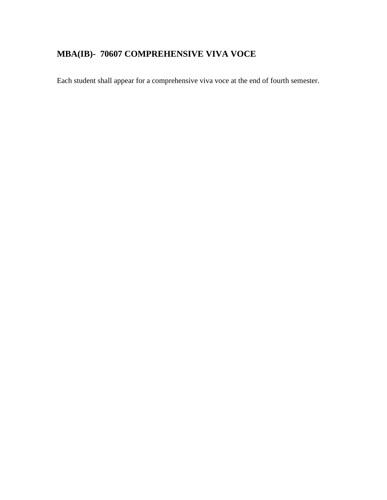# **MBA(IB)- 70607 COMPREHENSIVE VIVA VOCE**

Each student shall appear for a comprehensive viva voce at the end of fourth semester.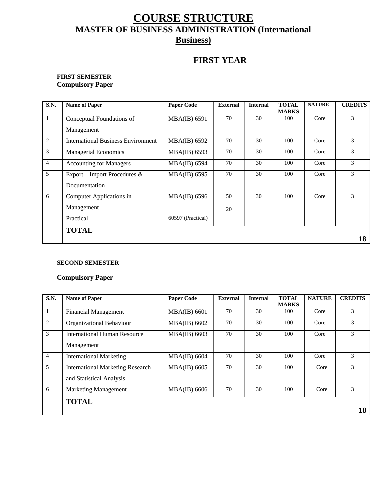# **COURSE STRUCTURE MASTER OF BUSINESS ADMINISTRATION (International Business)**

# **FIRST YEAR**

### **FIRST SEMESTER Compulsory Paper**

| <b>S.N.</b>    | <b>Name of Paper</b>                      | <b>Paper Code</b>   | <b>External</b> | <b>Internal</b> | <b>TOTAL</b><br><b>MARKS</b> | <b>NATURE</b> | <b>CREDITS</b> |
|----------------|-------------------------------------------|---------------------|-----------------|-----------------|------------------------------|---------------|----------------|
| 1              | Conceptual Foundations of                 | <b>MBA(IB) 6591</b> | 70              | 30              | 100                          | Core          | 3              |
|                | Management                                |                     |                 |                 |                              |               |                |
| 2              | <b>International Business Environment</b> | MBA(IB) 6592        | 70              | 30              | 100                          | Core          | 3              |
| $\mathfrak{Z}$ | <b>Managerial Economics</b>               | MBA(IB) 6593        | 70              | 30              | 100                          | Core          | 3              |
| $\overline{4}$ | <b>Accounting for Managers</b>            | <b>MBA(IB) 6594</b> | 70              | 30              | 100                          | Core          | 3              |
| 5              | Export – Import Procedures &              | MBA(IB) 6595        | 70              | 30              | 100                          | Core          | 3              |
|                | Documentation                             |                     |                 |                 |                              |               |                |
| 6              | Computer Applications in                  | MBA(IB) 6596        | 50              | 30              | 100                          | Core          | 3              |
|                | Management                                |                     | 20              |                 |                              |               |                |
|                | Practical                                 | 60597 (Practical)   |                 |                 |                              |               |                |
|                | <b>TOTAL</b>                              |                     |                 |                 |                              |               |                |
|                |                                           |                     |                 |                 |                              |               | 18             |

### **SECOND SEMESTER**

### **Compulsory Paper**

| <b>S.N.</b>    | <b>Name of Paper</b>                    | <b>Paper Code</b>   | <b>External</b> | <b>Internal</b> | <b>TOTAL</b> | <b>NATURE</b> | <b>CREDITS</b> |
|----------------|-----------------------------------------|---------------------|-----------------|-----------------|--------------|---------------|----------------|
|                |                                         |                     |                 |                 | <b>MARKS</b> |               |                |
| 1              | <b>Financial Management</b>             | $MBA(IB)$ 6601      | 70              | 30              | 100          | Core          | 3              |
| 2              | Organizational Behaviour                | MBA(IB) 6602        | 70              | 30              | 100          | Core          | 3              |
| 3              | <b>International Human Resource</b>     | MBA(IB) 6603        | 70              | 30              | 100          | Core          | 3              |
|                | Management                              |                     |                 |                 |              |               |                |
| $\overline{4}$ | <b>International Marketing</b>          | $MBA(IB)$ 6604      | 70              | 30              | 100          | Core          | 3              |
| 5              | <b>International Marketing Research</b> | MBA(IB) 6605        | 70              | 30              | 100          | Core          | 3              |
|                | and Statistical Analysis                |                     |                 |                 |              |               |                |
| 6              | <b>Marketing Management</b>             | <b>MBA(IB) 6606</b> | 70              | 30              | 100          | Core          | 3              |
|                | <b>TOTAL</b>                            |                     |                 |                 |              |               |                |
|                |                                         |                     |                 |                 |              |               | 18             |